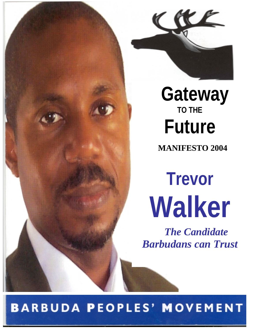

 **Gateway TO THE Future** 

**MANIFESTO 2004** 

**Trevor Walker** 

*The Candidate Barbudans can Trust*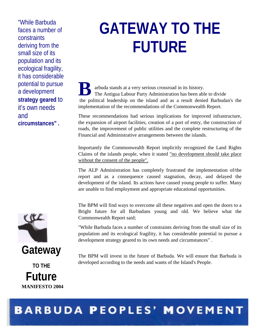"While Barbuda faces a number of constraints deriving from the small size of its population and its ecological fragility, it has considerable potential to pursue a development **strategy geared** to it's own needs and **circumstances" .**

## **GATEWAY TO THE FUTURE**

 arbuda stands at a very serious crossroad in its history. The Antigua Labour Party Administration has been able to divide the political leadership on the island and as a result denied Barbudan's the implementation of the recommendations of the Commonwealth Report. **B** <sup>a</sup>

These recommendations had serious implications for improved infrastructure, the expansion of airport facilities, creation of a port of entry, the construction of roads, the improvement of public utilities and the complete restructuring of the Financial and Administrative arrangements between the islands.

Importantly the Commonwealth Report implicitly recognized the Land Rights Claims of the islands people, when it stated "no development should take place without the consent of the people".

The ALP Administration has completely frustrated the implementation of/the report and as a consequence caused stagnation, decay, and delayed the development of the island. Its actions have caused young people to suffer. Many are unable to find employment and appropriate educational opportunities.

The BPM will find ways to overcome all these negatives and open the doors to a Bright future for all Barbudans young and old. We believe what the Commonwealth Report said;

"While Barbuda faces a number of constraints deriving from the small size of its population and its ecological fragility, it has considerable potential to pursue a development strategy geared to its own needs and circumstances" .

The BPM will invest in the future of Barbuda. We will ensure that Barbuda is developed according to the needs and wants of the Island's People.





**TO THE Future MANIFESTO 2004**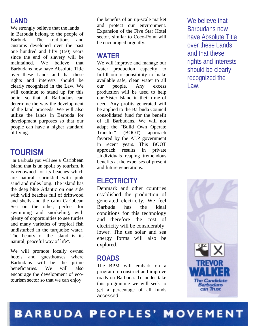## **LAND**

We strongly believe that the lands in Barbuda belong to the people of Barbuda. The traditions and customs developed over the past one hundred and fifty (150) years since the end of slavery will be maintained. We believe that Barbudans now have Absolute Title over these Lands and that these rights and interests should be clearly recognized in the Law. We will continue to stand up for this belief so that all Barbudans can determine the way the development of the land proceeds. We will also utilize the lands in Barbuda for development purposes so that our people can have a higher standard of living.

## **TOURISM**

"In Barbuda you will see a Caribbean island that is un spoilt by tourism, it is renowned for its beaches which are natural, sprinkled with pink sand and miles long. The island has the deep blue Atlantic on one side with wild beaches full of driftwood and shells and the calm Caribbean Sea on the other, perfect for swimming and snorkeling, with plenty of opportunities to see turtles and many varieties of tropical fish undisturbed in the turquoise water. The beauty of the island is its natural, peaceful way of life".

We will promote locally owned hotels and guesthouses where Barbudans will be the prime beneficiaries. We will also encourage the development of ecotourism sector so that we can enjoy

the benefits of an up-scale market and protect our environment. Expansion of the Five Star Hotel sector, similar to Coco-Point will be encouraged urgently.

#### **WATER**

We will improve and manage our water production capacity to fulfill our responsibility to make available safe, clean water to all our people. Any excess production will be used to help our Sister Island in their time of need. Any profits generated will be applied to the Barbuda Council consolidated fund for the benefit of all Barbudans. We will not adapt the "Build Own Operate Transfer" (BOOT) approach favored by the ALP government in recent years. This BOOT approach results in private \_individuals reaping tremendous benefits at the expenses of present and future generations.

## **ELECTRICITY**

Denmark and other countries established the production of generated electricity. We feel Barbuda has the ideal conditions for this technology and therefore the cost of electricity will be considerably lower. The use solar and sea energy forms will also be explored.

## **ROADS**

The BPM will embark on a program to construct and improve roads on Barbuda. To under take this programme we will seek to get a percentage of all funds accessed

We believe that Barbudans now have Absolute Title over these Lands and that these rights and interests should be clearly recognized the Law.

![](_page_2_Picture_13.jpeg)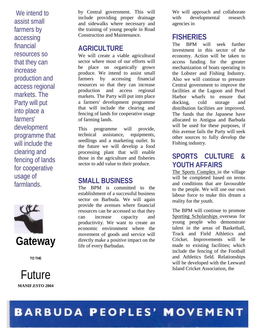We intend to assist small farmers by accessing financial resources so that they can increase production and access regional markets. The Party will put into place a farmers' development programme that will include the clearing and fencing of lands for cooperative usage of farmlands.

![](_page_3_Picture_1.jpeg)

**Gateway**

**TO THE**

Future **MANIF.ESTO 2004**  by Central government. This will include providing proper drainage and sidewalks where necessary and the training of young people in Road Construction and Maintenance.

## **AGRICULTURE**

We will create a viable agricultural sector where most of our efforts will be place on organically grown produce. We intend to assist small farmers by accessing financial resources so that they can increase production and access regional markets. The Party will put into place a farmers' development programme that will include the clearing and fencing of lands for cooperative usage of farming lands.

This programme will provide, technical assistance, equipments, seedlings and a marketing outlet. In the future we will develop a food processing plant that will enable those in the agriculture and fisheries sector to add value to their produce.

## **SMALL BUSINESS**

The BPM is committed to the establishment of a successful business sector on Barbuda. We will again provide the avenues where financial resources can be accessed so that they can increase capacity and productivity. We want to create an economic environment where the movement of goods and service will directly make a positive impact on the life of every Barbudan.

We will approach and collaborate with developmental research agencies in

## **FISHERIES**

The BPM will seek further investment in this sector of the economy. Action will be taken to access funding for the greater mechanization of boats operating in the Lobster and Fishing Industry. Also we will continue to pressure Central government to improve the facilities at the Lagoon and Pearl Harbor wharfs to ensure that docking, cold storage and distribution facilities are improved. The funds that the Japanese have allocated to Antigua and Barbuda will be used for these purposes, if this avenue fails the Party will seek other sources to fully develop the Fishing industry.

## **SPORTS CULTURE & YOUTH AFFAIRS**

The Sports Complex in the village will be completed based on terms and conditions that are favourable to the people. We will use our own labour force to make this dream a reality for the youth.

The BPM will continue to promote Sporting Scholarships overseas for young people who demonstrate talent in the areas of Basketball, Track and Field Athletics and Cricket. Improvements will be made to existing facilities; which include the fencing of the Football and Athletics field. Relationships will be developed with the Leeward Island Cricket Association, the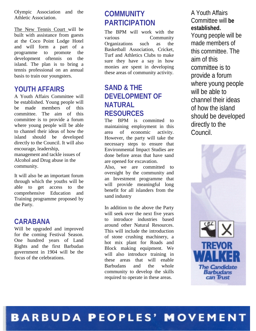Olympic Association and the Athletic Association.

The New Tennis Court will be built with assistance from guests at the Coco Point Lodge Hotel and will form a part of a programme to promote the development oftennis on the island. The plan is to bring a tennis professional on an annual basis to train our youngsters.

#### **YOUTH AFFAIRS**

A Youth Affairs Committee will be established. Young people will be made members of this committee. The aim of this committee is to provide a forum where young people will be able to channel their ideas of how the island should be developed directly to the Council. It will also encourage, leadership, management and tackle issues of Alcohol and Drug abuse in the community.

It will also be an important forum through which the youths will be able to get access to the comprehensive Education and Training programme proposed by the Party.

## **CARABANA**

Will be upgraded and improved for the coming Festival Season. One hundred years of Land Rights and the first Barbudan government in 1904 will be the focus of the celebrations.

## **COMMUNITY PARTICIPATION**

The BPM will work with the various Community Organizations such as the Basketball Association, Cricket, Turf and Athletics Clubs to make sure they have a say in how monies are spent in developing these areas of community activity.

## **SAND & THE DEVELOPMENT OF NATURAL RESOURCES**

The BPM is committed to maintaining employment in this area of economic activity. However, the party will take the necessary steps to ensure that Environmental Impact Studies are done before areas that have sand are opened for excavation.

Also, we are committed to oversight by the community and an Investment programme that will provide meaningful long benefit for all islanders from the sand industry

In addition to the above the Party will seek over the next five years to introduce industries based around other Natural Resources. This will include the introduction of stone crushing machinery, a hot mix plant for Roads and Block making equipment. We will also introduce training in these areas that will enable Barbudans and the whole community to develop the skills required to operate in these areas.

## A Youth Affairs Committee will **be established.**

Young people will be made members of this committee. The aim of this committee is to provide a forum where young people will be able to channel their ideas of how the island should be developed directly to the Council.

![](_page_4_Picture_15.jpeg)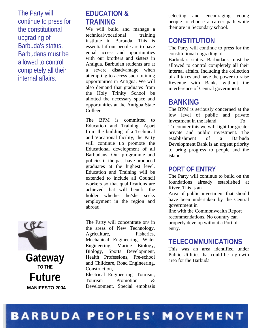The Party will continue to press for the constitutional upgrading of Barbuda's status. Barbudans must be allowed to control completely all their internal affairs.

![](_page_5_Picture_1.jpeg)

**TO THE Future MANIFESTO 2004** 

## **EDUCATION & TRAINING**

We will build and manage a technical/vocational training institute in Barbuda. This is essential if our people are to have equal access and opportunities with our brothers and sisters in Antigua. Barbudan students are at a severe disadvantage when attempting to access such training opportunities in Antigua. We will also demand that graduates from the Holy Trinity School be allotted the necessary space and opportunities at the Antigua State College.

The BPM is committed to Education and Training. Apart from the building of a Technical and Vocational facility, the Party will continue t.o promote the Educational development of all Barbudans. Our programme and policies in the past have produced graduates at the highest level. Education and Training will be extended to include all Council workers so that qualifications are achieved that will benefit the holder whether he/she seeks employment in the region and abroad.

The Party will concentrate on/ in the areas of New Technology, Agriculture, Fisheries, Mechanical Engineering, Water Engineering, Marine Biology, Biology, Sports Development, Health Professions, Pre-school and Childcare, Road Engineering, Construction, Electrical Engineering, Tourism, Tourism Promotion & Development. Special emphasis selecting and encouraging young people to choose a career path while their are in Secondary school.

## **CONSTITUTION**

The Party will continue to press for the constitutional upgrading of

Barbuda's status. Barbudans must be allowed to control completely all their internal affairs. Including the collection of all taxes and have the power to raise Revenue with Banks without the interference of Central government.

## **BANKING**

The BPM is seriously concerned at the low level of public and private investment in the island. To To counter this we will fight for greater private and public investment. The establishment of a Barbuda Development Bank is an urgent priority to bring progress to people and the island.

#### **PORT OF ENTRY**

The Party will continue to build on the foundations already established at River. This is an Area of public investment that should have been undertaken by the Central government in line with the Commonwealth Report recommendations. No country can properly develop without a Port of entry.

## **TELECOMMUNICATIONS**

This was an area identified under Public Utilities that could be a growth area for the Barbuda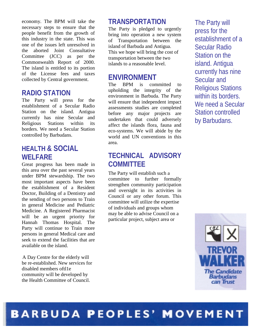economy. The BPM will take the necessary steps to ensure that the people benefit from the growth of this industry in the state. This was one of the issues left unresolved in the aborted Joint Consultative Committee (JCC) as per the Commonwealth Report of 2000. The island is entitled to its portion of the License fees and taxes collected by Central government.

#### **RADIO STATION**

The Party will press for the establishment of a Secular Radio Station on the island. Antigua currently has nine Secular and Religious Stations within its borders. We need a Secular Station controlled by Barbudans.

## **HEALTH & SOCIAL WELFARE**

Great progress has been made in this area over the past several years under BPM stewardship. The two most important aspects have been the establishment of a Resident Doctor, Building of a Dentistry and the sending of two persons to Train in general Medicine and Pediatric Medicine. A Registered Pharmacist will be an urgent priority for Hannah Thomas Hospital. The Party will continue to Train more persons in general Medical care and seek to extend the facilities that are available on the island.

A Day Centre for the elderly will be re-established. New services for disabled members oftl1e community will be developed by the Health Committee of Council.

## **TRANSPORTATION**

The Party is pledged to urgently bring into operation a new system of Transportation between the island of Barbuda and Antigua. This we hope will bring the cost of transportation between the two islands to a reasonable level.

## **ENVIRONMENT**

The BPM is committed to upholding the integrity of the environment in Barbuda. The Party will ensure that independent impact assessments studies are completed before any major projects are undertaken that could adversely affect the islands flora, fauna and eco-systems. We will abide by the world and UN conventions in this area.

## **TECHNICAL ADVISORY COMMITTEE**

The Party will establish such a committee to further formally strengthen community participation and oversight in its activities in Council or any other forum. This committee will utilize the expertise of individuals and groups whom may be able to advise Council on a particular project, subject area or

The Party will press for the establishment of a Secular Radio Station on the island. Antigua currently has nine Secular and Religious Stations within its borders. We need a Secular Station controlled by Barbudans.

![](_page_6_Picture_13.jpeg)